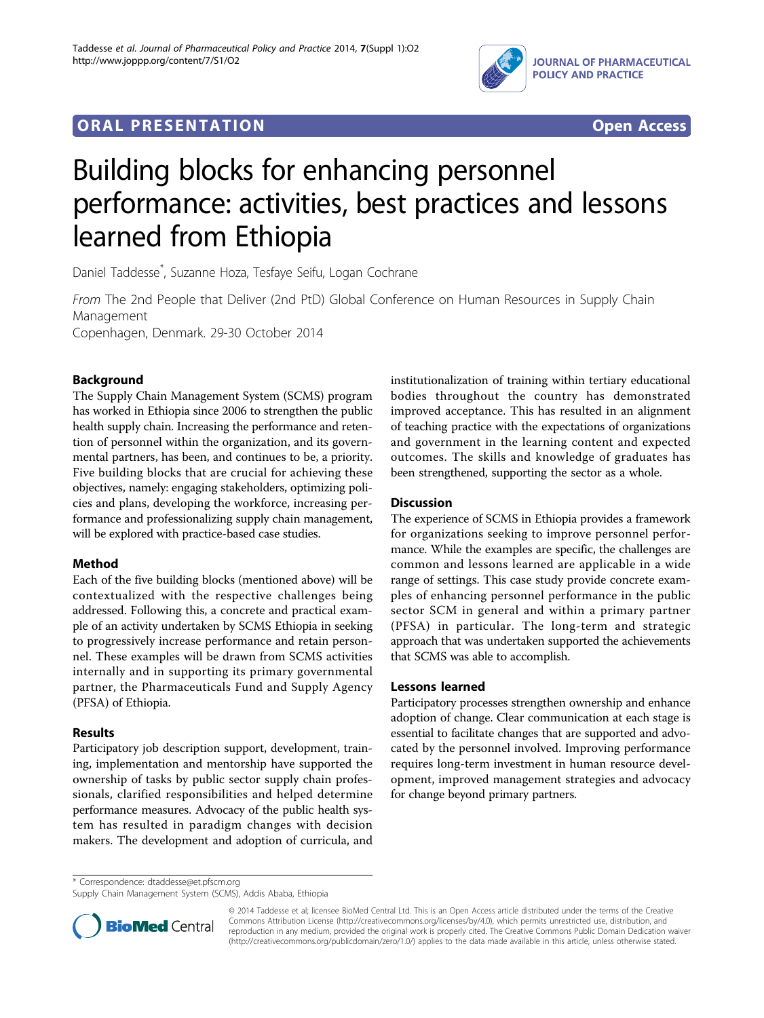

# **ORAL PRESENTATION CONSUMING A LIGAN CONSUMING A LIGAN CONSUMING A LIGAN CONSUMING A LIGAN CONSUMING A LIGAN CONSUMING A LIGAN CONSUMING A LIGAN CONSUMING A LIGAN CONSUMING A LIGAN CONSUMING A LIGAN CONSUMING A LIGAN CON**



# Building blocks for enhancing personnel performance: activities, best practices and lessons learned from Ethiopia

Daniel Taddesse\* , Suzanne Hoza, Tesfaye Seifu, Logan Cochrane

From The 2nd People that Deliver (2nd PtD) Global Conference on Human Resources in Supply Chain Management

Copenhagen, Denmark. 29-30 October 2014

## Background

The Supply Chain Management System (SCMS) program has worked in Ethiopia since 2006 to strengthen the public health supply chain. Increasing the performance and retention of personnel within the organization, and its governmental partners, has been, and continues to be, a priority. Five building blocks that are crucial for achieving these objectives, namely: engaging stakeholders, optimizing policies and plans, developing the workforce, increasing performance and professionalizing supply chain management, will be explored with practice-based case studies.

### Method

Each of the five building blocks (mentioned above) will be contextualized with the respective challenges being addressed. Following this, a concrete and practical example of an activity undertaken by SCMS Ethiopia in seeking to progressively increase performance and retain personnel. These examples will be drawn from SCMS activities internally and in supporting its primary governmental partner, the Pharmaceuticals Fund and Supply Agency (PFSA) of Ethiopia.

### Results

Participatory job description support, development, training, implementation and mentorship have supported the ownership of tasks by public sector supply chain professionals, clarified responsibilities and helped determine performance measures. Advocacy of the public health system has resulted in paradigm changes with decision makers. The development and adoption of curricula, and institutionalization of training within tertiary educational bodies throughout the country has demonstrated improved acceptance. This has resulted in an alignment of teaching practice with the expectations of organizations and government in the learning content and expected outcomes. The skills and knowledge of graduates has been strengthened, supporting the sector as a whole.

#### **Discussion**

The experience of SCMS in Ethiopia provides a framework for organizations seeking to improve personnel performance. While the examples are specific, the challenges are common and lessons learned are applicable in a wide range of settings. This case study provide concrete examples of enhancing personnel performance in the public sector SCM in general and within a primary partner (PFSA) in particular. The long-term and strategic approach that was undertaken supported the achievements that SCMS was able to accomplish.

#### Lessons learned

Participatory processes strengthen ownership and enhance adoption of change. Clear communication at each stage is essential to facilitate changes that are supported and advocated by the personnel involved. Improving performance requires long-term investment in human resource development, improved management strategies and advocacy for change beyond primary partners.

\* Correspondence: [dtaddesse@et.pfscm.org](mailto:dtaddesse@et.pfscm.org)

Supply Chain Management System (SCMS), Addis Ababa, Ethiopia



© 2014 Taddesse et al; licensee BioMed Central Ltd. This is an Open Access article distributed under the terms of the Creative Commons Attribution License [\(http://creativecommons.org/licenses/by/4.0](http://creativecommons.org/licenses/by/4.0)), which permits unrestricted use, distribution, and reproduction in any medium, provided the original work is properly cited. The Creative Commons Public Domain Dedication waiver [\(http://creativecommons.org/publicdomain/zero/1.0/](http://creativecommons.org/publicdomain/zero/1.0/)) applies to the data made available in this article, unless otherwise stated.